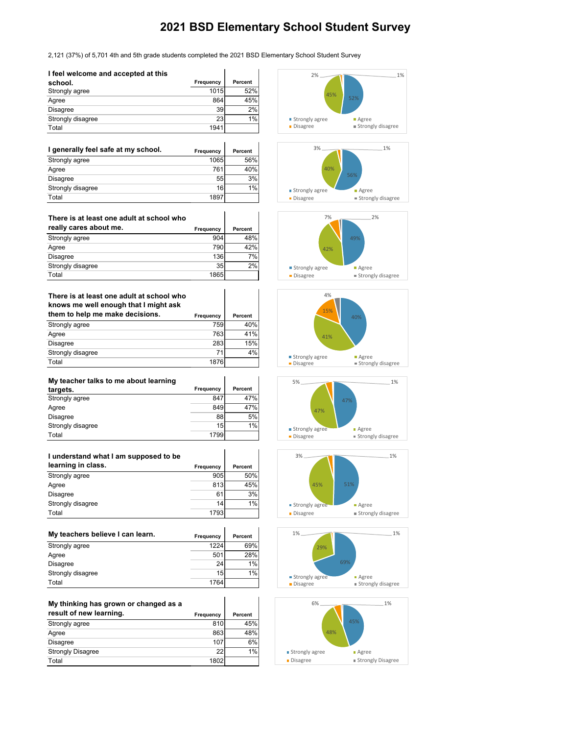## **2021 BSD Elementary School Student Survey**

2,121 (37%) of 5,701 4th and 5th grade students completed the 2021 BSD Elementary School Student Survey

 $\mathbf{r}$ 

 $\lambda$ 

| I feel welcome and accepted at this |           |                |
|-------------------------------------|-----------|----------------|
| school.                             | Frequency | <b>Percent</b> |
| Strongly agree                      | 1015      | 52%            |
| Agree                               | 864       | 45%            |
| Disagree                            | 39        | 2%             |
| Strongly disagree                   | 23        | 1%             |
| Total                               | 1941      |                |

## **There is at least one adult at school who knows me well enough that I might ask them to help me make decisions.**

| I generally feel safe at my school. | <b>Frequency</b> | <b>Percent</b> |
|-------------------------------------|------------------|----------------|
| Strongly agree                      | 1065             | 56%            |
| Agree                               | 761              | 40%            |
| Disagree                            | 55               | 3%             |
| Strongly disagree                   | 16               | 1%             |
| Total                               | 1897             |                |

| There is at least one adult at school who |           |         |
|-------------------------------------------|-----------|---------|
| really cares about me.                    | Frequency | Percent |
| Strongly agree                            | 904       | 48%     |
| Agree                                     | 790       | 42%     |
| <b>Disagree</b>                           | 136       | 7%      |
| Strongly disagree                         | 35        | 2%      |
| Total                                     | 1865      |         |

| GIVILL TO HOLD THE HIGHC GOOD FOLDS. | <b>Frequency</b> | rercent |
|--------------------------------------|------------------|---------|
| Strongly agree                       | 759              | 40%     |
| Agree                                | 763              | 41%     |
| <b>Disagree</b>                      | 283              | 15%     |
| Strongly disagree                    | 71               | 4%      |
| Total                                | 1876             |         |

| My teacher talks to me about learning |           |         |
|---------------------------------------|-----------|---------|
| targets.                              | Frequency | Percent |
| Strongly agree                        | 847       | 47%     |
| Agree                                 | 849       | 47%     |
| <b>Disagree</b>                       | 88        | 5%      |
| Strongly disagree                     | 15        | 1%      |
| Total                                 | 1799      |         |

| I understand what I am supposed to be |                  |         |
|---------------------------------------|------------------|---------|
| learning in class.                    | <b>Frequency</b> | Percent |
| Strongly agree                        | 905              | 50%     |
| Agree                                 | 813              | 45%     |
| <b>Disagree</b>                       | 61               | 3%      |
| Strongly disagree                     | 14               | 1%      |
| Total                                 | 1793             |         |

| My teachers believe I can learn. | Frequency       | Percent |
|----------------------------------|-----------------|---------|
| Strongly agree                   | 1224            | 69%     |
| Agree                            | 501             | 28%     |
| <b>Disagree</b>                  | 24              | $1\%$   |
| Strongly disagree                | 15 <sup>1</sup> | $1\%$   |
| Total                            | 1764            |         |

| My thinking has grown or changed as a |           |                |
|---------------------------------------|-----------|----------------|
| result of new learning.               | Frequency | <b>Percent</b> |
| Strongly agree                        | 810       | 45%            |
| Agree                                 | 863       | 48%            |
| Disagree                              | 107       | 6%             |
| <b>Strongly Disagree</b>              | 22        | 1%             |
| Total                                 | 1802      |                |













| . | . |  |
|---|---|--|
|   |   |  |



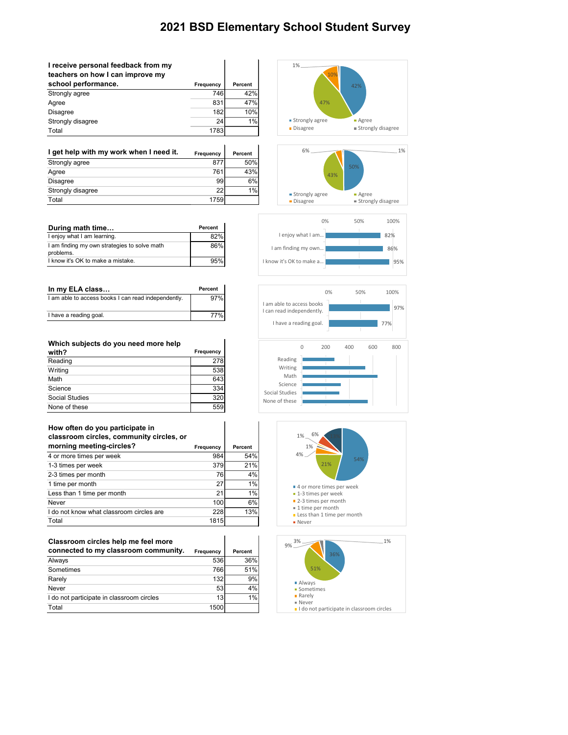## **2021 BSD Elementary School Student Survey**

| I receive personal feedback from my<br>teachers on how I can improve my |                  |                |
|-------------------------------------------------------------------------|------------------|----------------|
| school performance.                                                     | <b>Frequency</b> | <b>Percent</b> |
| Strongly agree                                                          | 746              | 42%            |
| Agree                                                                   | 831              | 47%            |
| <b>Disagree</b>                                                         | 182              | 10%            |
| Strongly disagree                                                       | 24               | 1%             |
| Total                                                                   | 1783             |                |

| I get help with my work when I need it. | Frequency | Percent |
|-----------------------------------------|-----------|---------|
| Strongly agree                          | 877       | 50%     |
| Agree                                   | 761       | 43%     |
| <b>Disagree</b>                         | 99        | 6%      |
| Strongly disagree                       | 22        | 1%      |
| Total                                   | 1759      |         |

| During math time                                          | Percent |
|-----------------------------------------------------------|---------|
| I enjoy what I am learning.                               | 82%     |
| I am finding my own strategies to solve math<br>problems. | 86%     |
| I know it's OK to make a mistake.                         | 95%     |

| In my ELA class                                     | Percent |
|-----------------------------------------------------|---------|
| I am able to access books I can read independently. | 97%     |
| I have a reading goal.                              | 77%     |

| Which subjects do you need more help |                  |
|--------------------------------------|------------------|
| with?                                | <b>Frequency</b> |
| Reading                              | 278              |
| Writing                              | 538              |
| Math                                 | 643              |
| Science                              | 334              |
| <b>Social Studies</b>                | 320              |
| None of these                        | 559              |

| How often do you participate in<br>classroom circles, community circles, or |                  |                |
|-----------------------------------------------------------------------------|------------------|----------------|
| morning meeting-circles?                                                    | <b>Frequency</b> | <b>Percent</b> |
| 4 or more times per week                                                    | 984              | 54%            |
| 1-3 times per week                                                          | 379              | 21%            |
| 2-3 times per month                                                         | 76               | 4%             |
| 1 time per month                                                            | 27               | $1\%$          |
| Less than 1 time per month                                                  | 21               | 1%             |
| <b>Never</b>                                                                | 100              | 6%             |
| I do not know what classroom circles are                                    | 228              | 13%            |
| Total                                                                       | 1815             |                |

| Classroom circles help me feel more       |           |                |
|-------------------------------------------|-----------|----------------|
| connected to my classroom community.      | Frequency | <b>Percent</b> |
| Always                                    | 536       | 36%            |
| Sometimes                                 | 766       | 51%            |
| Rarely                                    | 132       | 9%             |
| <b>Never</b>                              | 53        | 4%             |
| I do not participate in classroom circles | 13        | 1%             |
| Total                                     | 1500      |                |











Sometimes

Rarely

Never

I do not participate in classroom circles